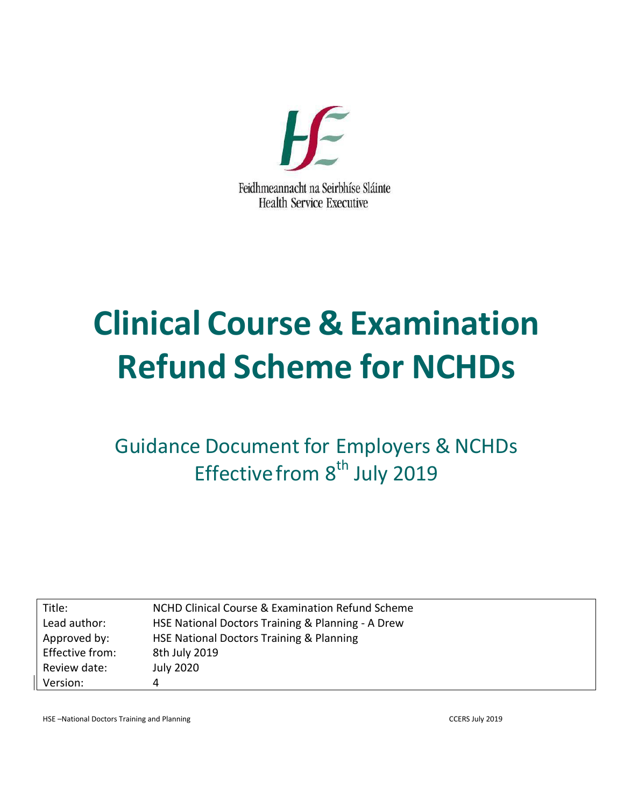

# **Clinical Course & Examination Refund Scheme for NCHDs**

Guidance Document for Employers & NCHDs Effective from 8<sup>th</sup> July 2019

| Title:          | NCHD Clinical Course & Examination Refund Scheme  |
|-----------------|---------------------------------------------------|
| Lead author:    | HSE National Doctors Training & Planning - A Drew |
| Approved by:    | HSE National Doctors Training & Planning          |
| Effective from: | 8th July 2019                                     |
| Review date:    | <b>July 2020</b>                                  |
| Version:        | 4                                                 |

HSE –National Doctors Training and Planning CCERS July 2019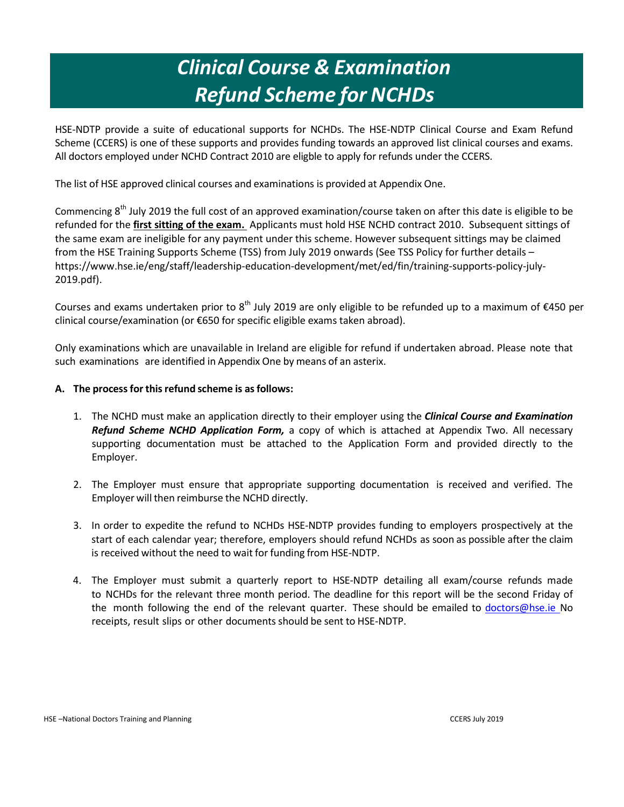### *Clinical Course & Examination Refund Scheme for NCHDs*

HSE-NDTP provide a suite of educational supports for NCHDs. The HSE-NDTP Clinical Course and Exam Refund Scheme (CCERS) is one of these supports and provides funding towards an approved list clinical courses and exams. All doctors employed under NCHD Contract 2010 are eligble to apply for refunds under the CCERS.

The list of HSE approved clinical courses and examinations is provided at Appendix One.

Commencing 8<sup>th</sup> July 2019 the full cost of an approved examination/course taken on after this date is eligible to be refunded for the **first sitting of the exam.** Applicants must hold HSE NCHD contract 2010. Subsequent sittings of the same exam are ineligible for any payment under this scheme. However subsequent sittings may be claimed from the HSE Training Supports Scheme (TSS) from July 2019 onwards (See TSS Policy for further details – https://www.hse.ie/eng/staff/leadership-education-development/met/ed/fin/training-supports-policy-july-2019.pdf).

Courses and exams undertaken prior to 8<sup>th</sup> July 2019 are only eligible to be refunded up to a maximum of  $\epsilon$ 450 per clinical course/examination (or €650 for specific eligible exams taken abroad).

Only examinations which are unavailable in Ireland are eligible for refund if undertaken abroad. Please note that such examinations are identified in Appendix One by means of an asterix.

#### **A. The processfor thisrefund scheme is asfollows:**

- 1. The NCHD must make an application directly to their employer using the *Clinical Course and Examination Refund Scheme NCHD Application Form,* a copy of which is attached at Appendix Two. All necessary supporting documentation must be attached to the Application Form and provided directly to the Employer.
- 2. The Employer must ensure that appropriate supporting documentation is received and verified. The Employer will then reimburse the NCHD directly.
- 3. In order to expedite the refund to NCHDs HSE-NDTP provides funding to employers prospectively at the start of each calendar year; therefore, employers should refund NCHDs as soon as possible after the claim is received without the need to wait for funding from HSE-NDTP.
- 4. The Employer must submit a quarterly report to HSE-NDTP detailing all exam/course refunds made to NCHDs for the relevant three month period. The deadline for this report will be the second Friday of the month following the end of the relevant quarter. These should be emailed to [doctors@hse.ie](mailto:doctors@hse.ie) No receipts, result slips or other documents should be sent to HSE-NDTP.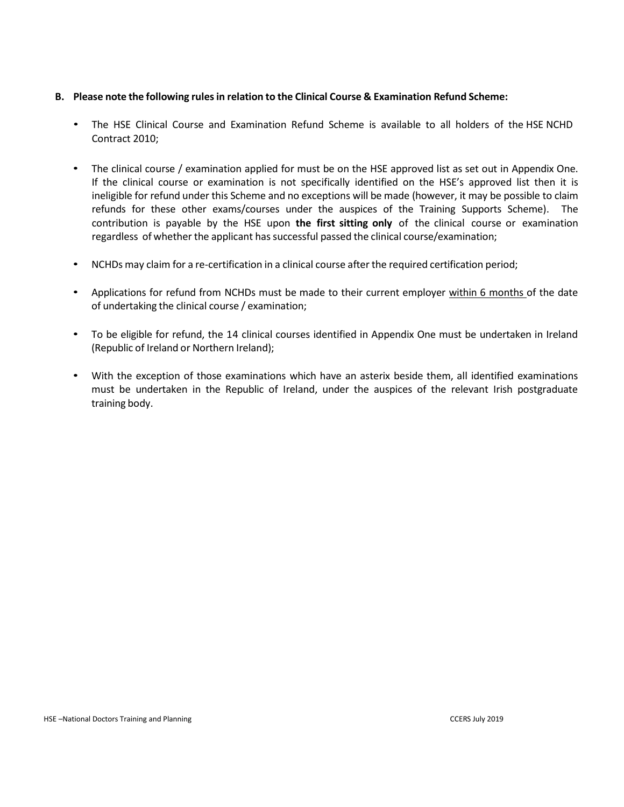#### **B. Please note the following rulesin relation to the Clinical Course & Examination Refund Scheme:**

- The HSE Clinical Course and Examination Refund Scheme is available to all holders of the HSE NCHD Contract 2010;
- The clinical course / examination applied for must be on the HSE approved list as set out in Appendix One. If the clinical course or examination is not specifically identified on the HSE's approved list then it is ineligible for refund under this Scheme and no exceptions will be made (however, it may be possible to claim refunds for these other exams/courses under the auspices of the Training Supports Scheme). The contribution is payable by the HSE upon **the first sitting only** of the clinical course or examination regardless of whether the applicant has successful passed the clinical course/examination;
- NCHDs may claim for a re-certification in a clinical course after the required certification period;
- Applications for refund from NCHDs must be made to their current employer within 6 months of the date of undertaking the clinical course / examination;
- To be eligible for refund, the 14 clinical courses identified in Appendix One must be undertaken in Ireland (Republic of Ireland or Northern Ireland);
- With the exception of those examinations which have an asterix beside them, all identified examinations must be undertaken in the Republic of Ireland, under the auspices of the relevant Irish postgraduate training body.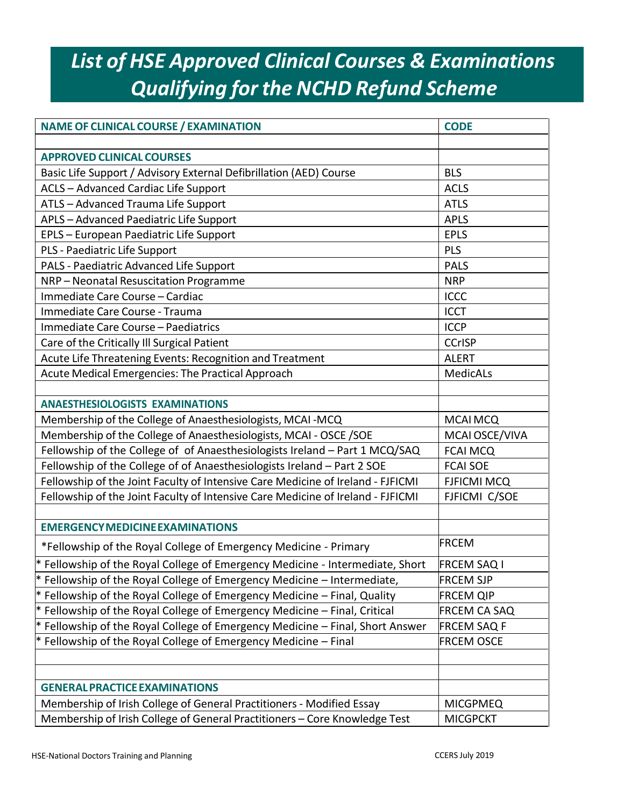# *List of HSE Approved Clinical Courses & Examinations Qualifying for the NCHD Refund Scheme*

| <b>NAME OF CLINICAL COURSE / EXAMINATION</b>                                    | <b>CODE</b>        |
|---------------------------------------------------------------------------------|--------------------|
|                                                                                 |                    |
| <b>APPROVED CLINICAL COURSES</b>                                                |                    |
| Basic Life Support / Advisory External Defibrillation (AED) Course              | <b>BLS</b>         |
| ACLS - Advanced Cardiac Life Support                                            | <b>ACLS</b>        |
| ATLS - Advanced Trauma Life Support                                             | <b>ATLS</b>        |
| APLS - Advanced Paediatric Life Support                                         | <b>APLS</b>        |
| EPLS - European Paediatric Life Support                                         | <b>EPLS</b>        |
| PLS - Paediatric Life Support                                                   | PLS                |
| PALS - Paediatric Advanced Life Support                                         | <b>PALS</b>        |
| NRP-Neonatal Resuscitation Programme                                            | <b>NRP</b>         |
| Immediate Care Course - Cardiac                                                 | <b>ICCC</b>        |
| Immediate Care Course - Trauma                                                  | <b>ICCT</b>        |
| Immediate Care Course - Paediatrics                                             | <b>ICCP</b>        |
| Care of the Critically III Surgical Patient                                     | <b>CCrISP</b>      |
| Acute Life Threatening Events: Recognition and Treatment                        | <b>ALERT</b>       |
| Acute Medical Emergencies: The Practical Approach                               | MedicALs           |
|                                                                                 |                    |
| <b>ANAESTHESIOLOGISTS EXAMINATIONS</b>                                          |                    |
| Membership of the College of Anaesthesiologists, MCAI-MCQ                       | <b>MCAI MCQ</b>    |
| Membership of the College of Anaesthesiologists, MCAI - OSCE / SOE              | MCAI OSCE/VIVA     |
| Fellowship of the College of of Anaesthesiologists Ireland - Part 1 MCQ/SAQ     | <b>FCAI MCQ</b>    |
| Fellowship of the College of of Anaesthesiologists Ireland - Part 2 SOE         | <b>FCAI SOE</b>    |
| Fellowship of the Joint Faculty of Intensive Care Medicine of Ireland - FJFICMI | <b>FJFICMI MCQ</b> |
| Fellowship of the Joint Faculty of Intensive Care Medicine of Ireland - FJFICMI | FJFICMI C/SOE      |
|                                                                                 |                    |
| <b>EMERGENCY MEDICINE EXAMINATIONS</b>                                          |                    |
| *Fellowship of the Royal College of Emergency Medicine - Primary                | <b>FRCEM</b>       |
| $*$ Fellowship of the Royal College of Emergency Medicine - Intermediate, Short | <b>FRCEM SAQ I</b> |
| $*$ Fellowship of the Royal College of Emergency Medicine – Intermediate,       | <b>FRCEM SJP</b>   |
| $*$ Fellowship of the Royal College of Emergency Medicine – Final, Quality      | <b>FRCEM QIP</b>   |
| $*$ Fellowship of the Royal College of Emergency Medicine – Final, Critical     | FRCEM CA SAQ       |
| $*$ Fellowship of the Royal College of Emergency Medicine – Final, Short Answer | <b>FRCEM SAQ F</b> |
| * Fellowship of the Royal College of Emergency Medicine $-$ Final               | <b>FRCEM OSCE</b>  |
|                                                                                 |                    |
|                                                                                 |                    |
| <b>GENERAL PRACTICE EXAMINATIONS</b>                                            |                    |
| Membership of Irish College of General Practitioners - Modified Essay           | <b>MICGPMEQ</b>    |
| Membership of Irish College of General Practitioners - Core Knowledge Test      | <b>MICGPCKT</b>    |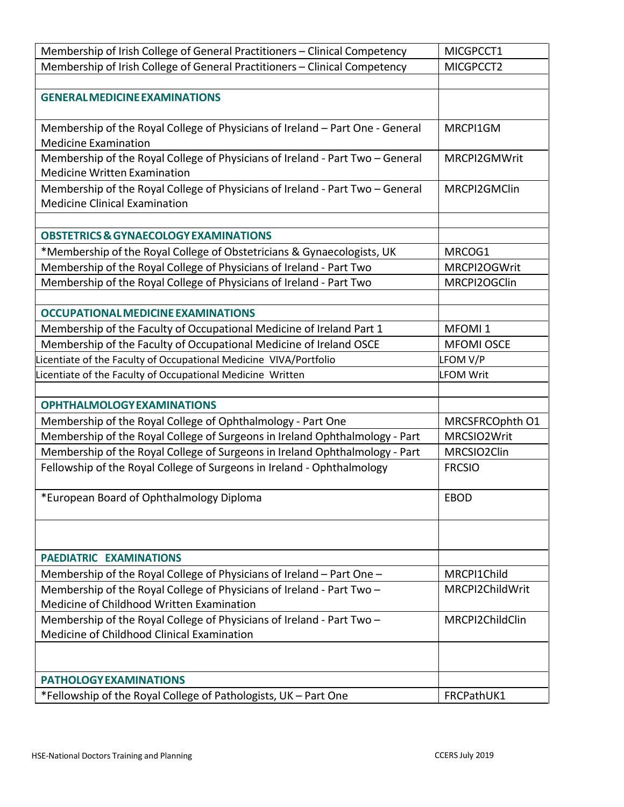| Membership of Irish College of General Practitioners - Clinical Competency                                            | MICGPCCT1          |
|-----------------------------------------------------------------------------------------------------------------------|--------------------|
| Membership of Irish College of General Practitioners - Clinical Competency                                            | MICGPCCT2          |
|                                                                                                                       |                    |
| <b>GENERAL MEDICINE EXAMINATIONS</b>                                                                                  |                    |
| Membership of the Royal College of Physicians of Ireland - Part One - General<br><b>Medicine Examination</b>          | MRCPI1GM           |
| Membership of the Royal College of Physicians of Ireland - Part Two - General<br><b>Medicine Written Examination</b>  | MRCPI2GMWrit       |
| Membership of the Royal College of Physicians of Ireland - Part Two - General<br><b>Medicine Clinical Examination</b> | MRCPI2GMClin       |
|                                                                                                                       |                    |
| <b>OBSTETRICS &amp; GYNAECOLOGY EXAMINATIONS</b>                                                                      |                    |
| *Membership of the Royal College of Obstetricians & Gynaecologists, UK                                                | MRCOG1             |
| Membership of the Royal College of Physicians of Ireland - Part Two                                                   | MRCPI2OGWrit       |
| Membership of the Royal College of Physicians of Ireland - Part Two                                                   | MRCPI2OGClin       |
|                                                                                                                       |                    |
| <b>OCCUPATIONAL MEDICINE EXAMINATIONS</b>                                                                             |                    |
| Membership of the Faculty of Occupational Medicine of Ireland Part 1                                                  | MFOMI <sub>1</sub> |
| Membership of the Faculty of Occupational Medicine of Ireland OSCE                                                    | <b>MFOMI OSCE</b>  |
| Licentiate of the Faculty of Occupational Medicine VIVA/Portfolio                                                     | LFOM V/P           |
| Licentiate of the Faculty of Occupational Medicine Written                                                            | <b>LFOM Writ</b>   |
|                                                                                                                       |                    |
| <b>OPHTHALMOLOGY EXAMINATIONS</b>                                                                                     |                    |
| Membership of the Royal College of Ophthalmology - Part One                                                           | MRCSFRCOphth O1    |
| Membership of the Royal College of Surgeons in Ireland Ophthalmology - Part                                           | MRCSIO2Writ        |
| Membership of the Royal College of Surgeons in Ireland Ophthalmology - Part                                           | MRCSIO2Clin        |
| Fellowship of the Royal College of Surgeons in Ireland - Ophthalmology                                                | <b>FRCSIO</b>      |
| *European Board of Ophthalmology Diploma                                                                              | EBOD               |
|                                                                                                                       |                    |
| <b>PAEDIATRIC EXAMINATIONS</b>                                                                                        |                    |
| Membership of the Royal College of Physicians of Ireland - Part One -                                                 | MRCPI1Child        |
| Membership of the Royal College of Physicians of Ireland - Part Two -                                                 | MRCPI2ChildWrit    |
| Medicine of Childhood Written Examination                                                                             |                    |
| Membership of the Royal College of Physicians of Ireland - Part Two -<br>Medicine of Childhood Clinical Examination   | MRCPI2ChildClin    |
|                                                                                                                       |                    |
| <b>PATHOLOGY EXAMINATIONS</b>                                                                                         |                    |
| *Fellowship of the Royal College of Pathologists, UK - Part One                                                       | FRCPathUK1         |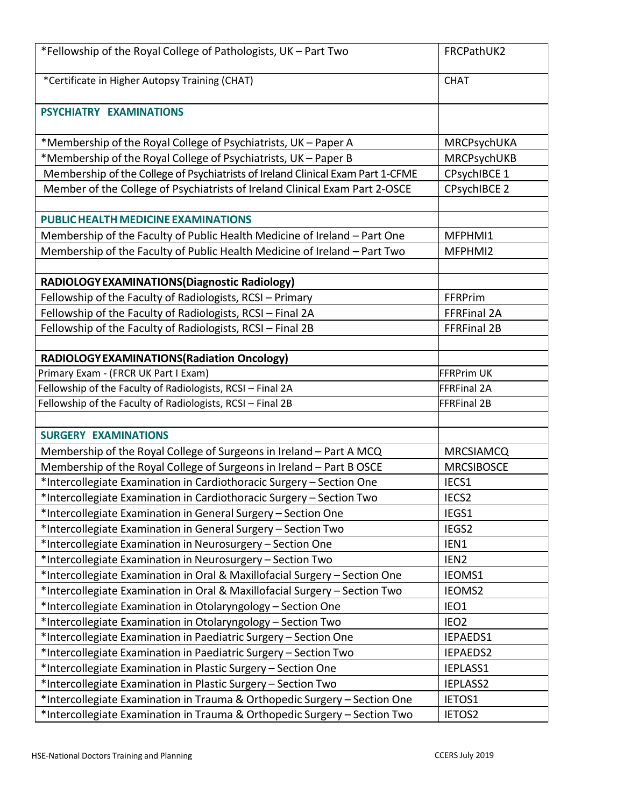| *Fellowship of the Royal College of Pathologists, UK - Part Two                 | FRCPathUK2          |
|---------------------------------------------------------------------------------|---------------------|
| *Certificate in Higher Autopsy Training (CHAT)                                  | <b>CHAT</b>         |
| PSYCHIATRY EXAMINATIONS                                                         |                     |
| *Membership of the Royal College of Psychiatrists, UK - Paper A                 | MRCPsychUKA         |
| *Membership of the Royal College of Psychiatrists, UK - Paper B                 | MRCPsychUKB         |
| Membership of the College of Psychiatrists of Ireland Clinical Exam Part 1-CFME | CPsychIBCE 1        |
| Member of the College of Psychiatrists of Ireland Clinical Exam Part 2-OSCE     | <b>CPsychIBCE 2</b> |
|                                                                                 |                     |
| PUBLIC HEALTH MEDICINE EXAMINATIONS                                             |                     |
| Membership of the Faculty of Public Health Medicine of Ireland - Part One       | MFPHMI1             |
| Membership of the Faculty of Public Health Medicine of Ireland - Part Two       | MFPHMI2             |
|                                                                                 |                     |
| RADIOLOGY EXAMINATIONS (Diagnostic Radiology)                                   |                     |
| Fellowship of the Faculty of Radiologists, RCSI - Primary                       | FFRPrim             |
| Fellowship of the Faculty of Radiologists, RCSI - Final 2A                      | FFRFinal 2A         |
| Fellowship of the Faculty of Radiologists, RCSI - Final 2B                      | FFRFinal 2B         |
|                                                                                 |                     |
| RADIOLOGY EXAMINATIONS (Radiation Oncology)                                     |                     |
| Primary Exam - (FRCR UK Part I Exam)                                            | <b>FFRPrim UK</b>   |
| Fellowship of the Faculty of Radiologists, RCSI - Final 2A                      | <b>FFRFinal 2A</b>  |
| Fellowship of the Faculty of Radiologists, RCSI - Final 2B                      | <b>FFRFinal 2B</b>  |
|                                                                                 |                     |
| <b>SURGERY EXAMINATIONS</b>                                                     |                     |
| Membership of the Royal College of Surgeons in Ireland - Part A MCQ             | <b>MRCSIAMCQ</b>    |
| Membership of the Royal College of Surgeons in Ireland - Part B OSCE            | <b>MRCSIBOSCE</b>   |
| *Intercollegiate Examination in Cardiothoracic Surgery - Section One            | IECS1               |
| *Intercollegiate Examination in Cardiothoracic Surgery - Section Two            | IECS <sub>2</sub>   |
| *Intercollegiate Examination in General Surgery - Section One                   | IEGS1               |
| *Intercollegiate Examination in General Surgery - Section Two                   | IEGS2               |
| *Intercollegiate Examination in Neurosurgery - Section One                      | IEN1                |
| *Intercollegiate Examination in Neurosurgery - Section Two                      | IEN <sub>2</sub>    |
| *Intercollegiate Examination in Oral & Maxillofacial Surgery - Section One      | IEOMS1              |
| *Intercollegiate Examination in Oral & Maxillofacial Surgery - Section Two      | IEOMS2              |
| *Intercollegiate Examination in Otolaryngology - Section One                    | IEO1                |
| *Intercollegiate Examination in Otolaryngology - Section Two                    | IEO <sub>2</sub>    |
| *Intercollegiate Examination in Paediatric Surgery - Section One                | IEPAEDS1            |
| *Intercollegiate Examination in Paediatric Surgery - Section Two                | IEPAEDS2            |
| *Intercollegiate Examination in Plastic Surgery - Section One                   | IEPLASS1            |
| *Intercollegiate Examination in Plastic Surgery - Section Two                   | IEPLASS2            |
| *Intercollegiate Examination in Trauma & Orthopedic Surgery - Section One       | IETOS1              |
| *Intercollegiate Examination in Trauma & Orthopedic Surgery - Section Two       | IETOS2              |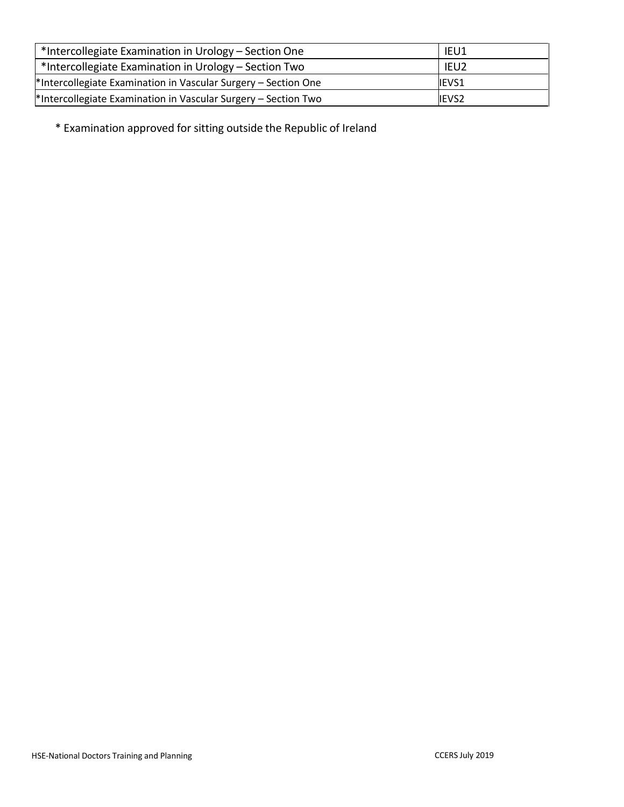| *Intercollegiate Examination in Urology – Section One          | IEU1             |
|----------------------------------------------------------------|------------------|
| *Intercollegiate Examination in Urology – Section Two          | IEU <sub>2</sub> |
| *Intercollegiate Examination in Vascular Surgery - Section One | <b>IEVS1</b>     |
| *Intercollegiate Examination in Vascular Surgery - Section Two | IEVS2            |

\* Examination approved for sitting outside the Republic of Ireland